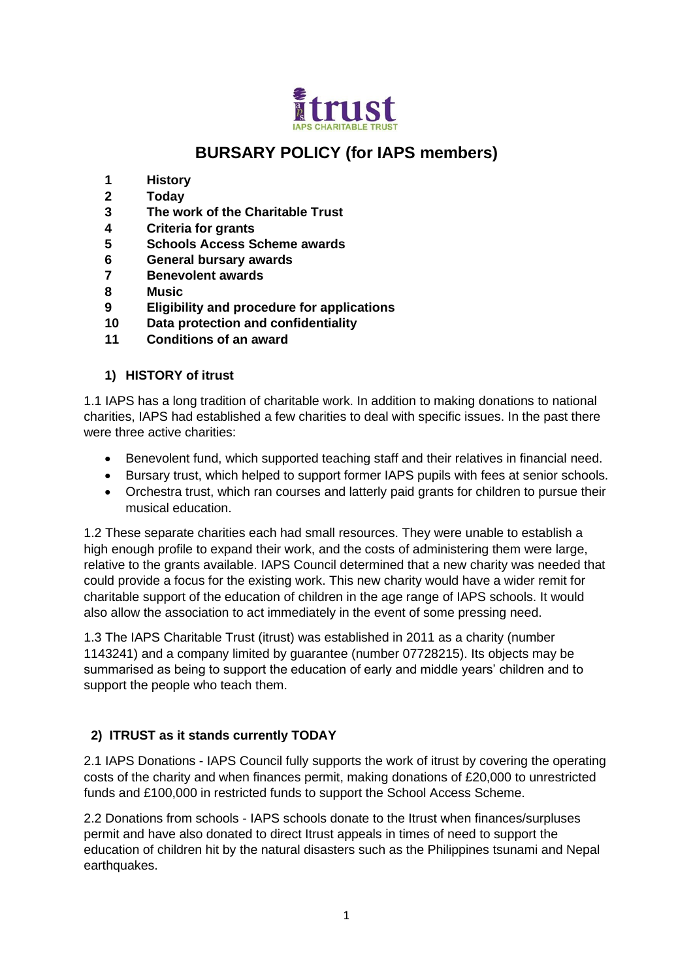

# **BURSARY POLICY (for IAPS members)**

- **1 History**
- **2 Today**
- **3 The work of the Charitable Trust**
- **4 Criteria for grants**
- **5 Schools Access Scheme awards**
- **6 General bursary awards**
- **7 Benevolent awards**
- **8 Music**
- **9 Eligibility and procedure for applications**
- **10 Data protection and confidentiality**
- **11 Conditions of an award**

## **1) HISTORY of itrust**

1.1 IAPS has a long tradition of charitable work. In addition to making donations to national charities, IAPS had established a few charities to deal with specific issues. In the past there were three active charities:

- Benevolent fund, which supported teaching staff and their relatives in financial need.
- Bursary trust, which helped to support former IAPS pupils with fees at senior schools.
- Orchestra trust, which ran courses and latterly paid grants for children to pursue their musical education.

1.2 These separate charities each had small resources. They were unable to establish a high enough profile to expand their work, and the costs of administering them were large, relative to the grants available. IAPS Council determined that a new charity was needed that could provide a focus for the existing work. This new charity would have a wider remit for charitable support of the education of children in the age range of IAPS schools. It would also allow the association to act immediately in the event of some pressing need.

1.3 The IAPS Charitable Trust (itrust) was established in 2011 as a charity (number 1143241) and a company limited by guarantee (number 07728215). Its objects may be summarised as being to support the education of early and middle years' children and to support the people who teach them.

## **2) ITRUST as it stands currently TODAY**

2.1 IAPS Donations - IAPS Council fully supports the work of itrust by covering the operating costs of the charity and when finances permit, making donations of £20,000 to unrestricted funds and £100,000 in restricted funds to support the School Access Scheme.

2.2 Donations from schools - IAPS schools donate to the Itrust when finances/surpluses permit and have also donated to direct Itrust appeals in times of need to support the education of children hit by the natural disasters such as the Philippines tsunami and Nepal earthquakes.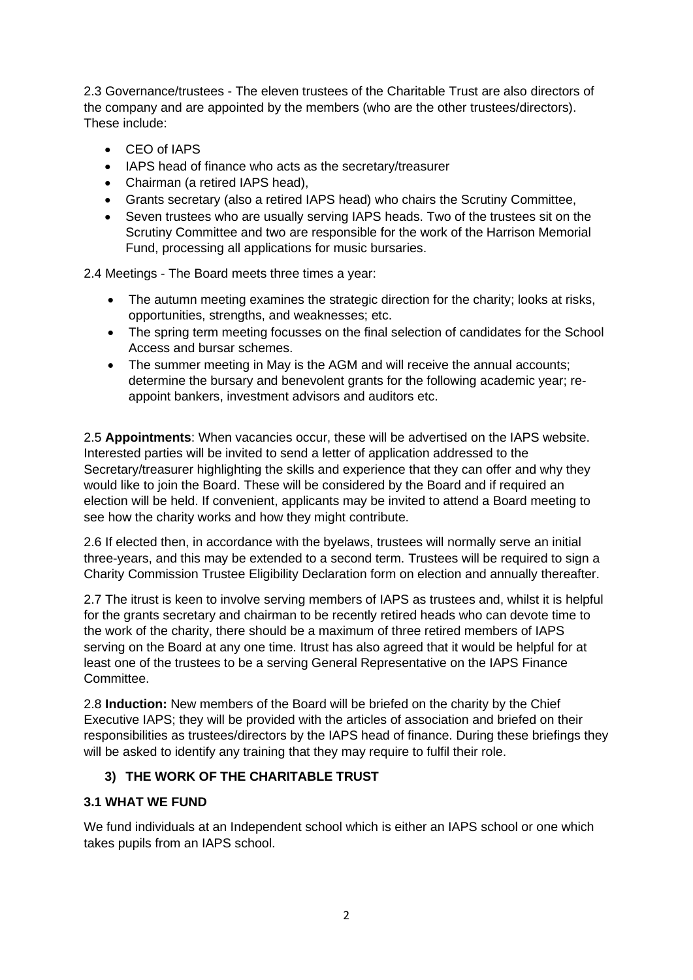2.3 Governance/trustees - The eleven trustees of the Charitable Trust are also directors of the company and are appointed by the members (who are the other trustees/directors). These include:

- CEO of IAPS
- IAPS head of finance who acts as the secretary/treasurer
- Chairman (a retired IAPS head),
- Grants secretary (also a retired IAPS head) who chairs the Scrutiny Committee,
- Seven trustees who are usually serving IAPS heads. Two of the trustees sit on the Scrutiny Committee and two are responsible for the work of the Harrison Memorial Fund, processing all applications for music bursaries.

2.4 Meetings - The Board meets three times a year:

- The autumn meeting examines the strategic direction for the charity; looks at risks, opportunities, strengths, and weaknesses; etc.
- The spring term meeting focusses on the final selection of candidates for the School Access and bursar schemes.
- The summer meeting in May is the AGM and will receive the annual accounts; determine the bursary and benevolent grants for the following academic year; reappoint bankers, investment advisors and auditors etc.

2.5 **Appointments**: When vacancies occur, these will be advertised on the IAPS website. Interested parties will be invited to send a letter of application addressed to the Secretary/treasurer highlighting the skills and experience that they can offer and why they would like to join the Board. These will be considered by the Board and if required an election will be held. If convenient, applicants may be invited to attend a Board meeting to see how the charity works and how they might contribute.

2.6 If elected then, in accordance with the byelaws, trustees will normally serve an initial three-years, and this may be extended to a second term. Trustees will be required to sign a Charity Commission Trustee Eligibility Declaration form on election and annually thereafter.

2.7 The itrust is keen to involve serving members of IAPS as trustees and, whilst it is helpful for the grants secretary and chairman to be recently retired heads who can devote time to the work of the charity, there should be a maximum of three retired members of IAPS serving on the Board at any one time. Itrust has also agreed that it would be helpful for at least one of the trustees to be a serving General Representative on the IAPS Finance Committee.

2.8 **Induction:** New members of the Board will be briefed on the charity by the Chief Executive IAPS; they will be provided with the articles of association and briefed on their responsibilities as trustees/directors by the IAPS head of finance. During these briefings they will be asked to identify any training that they may require to fulfil their role.

## **3) THE WORK OF THE CHARITABLE TRUST**

## **3.1 WHAT WE FUND**

We fund individuals at an Independent school which is either an IAPS school or one which takes pupils from an IAPS school.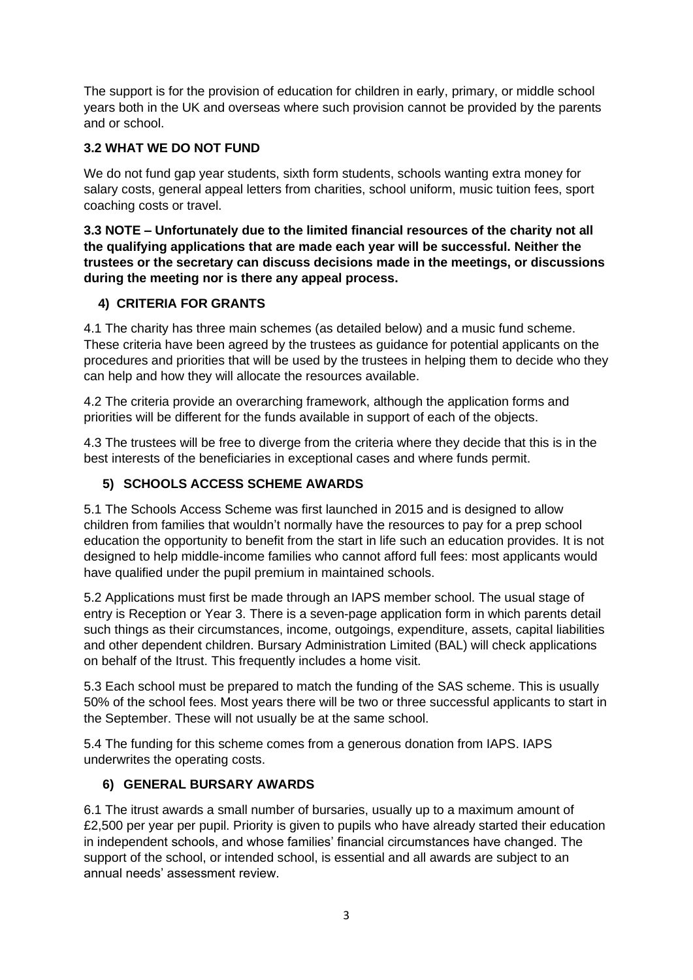The support is for the provision of education for children in early, primary, or middle school years both in the UK and overseas where such provision cannot be provided by the parents and or school.

## **3.2 WHAT WE DO NOT FUND**

We do not fund gap year students, sixth form students, schools wanting extra money for salary costs, general appeal letters from charities, school uniform, music tuition fees, sport coaching costs or travel.

**3.3 NOTE – Unfortunately due to the limited financial resources of the charity not all the qualifying applications that are made each year will be successful. Neither the trustees or the secretary can discuss decisions made in the meetings, or discussions during the meeting nor is there any appeal process.**

## **4) CRITERIA FOR GRANTS**

4.1 The charity has three main schemes (as detailed below) and a music fund scheme. These criteria have been agreed by the trustees as guidance for potential applicants on the procedures and priorities that will be used by the trustees in helping them to decide who they can help and how they will allocate the resources available.

4.2 The criteria provide an overarching framework, although the application forms and priorities will be different for the funds available in support of each of the objects.

4.3 The trustees will be free to diverge from the criteria where they decide that this is in the best interests of the beneficiaries in exceptional cases and where funds permit.

# **5) SCHOOLS ACCESS SCHEME AWARDS**

5.1 The Schools Access Scheme was first launched in 2015 and is designed to allow children from families that wouldn't normally have the resources to pay for a prep school education the opportunity to benefit from the start in life such an education provides. It is not designed to help middle-income families who cannot afford full fees: most applicants would have qualified under the pupil premium in maintained schools.

5.2 Applications must first be made through an IAPS member school. The usual stage of entry is Reception or Year 3. There is a seven-page application form in which parents detail such things as their circumstances, income, outgoings, expenditure, assets, capital liabilities and other dependent children. Bursary Administration Limited (BAL) will check applications on behalf of the Itrust. This frequently includes a home visit.

5.3 Each school must be prepared to match the funding of the SAS scheme. This is usually 50% of the school fees. Most years there will be two or three successful applicants to start in the September. These will not usually be at the same school.

5.4 The funding for this scheme comes from a generous donation from IAPS. IAPS underwrites the operating costs.

## **6) GENERAL BURSARY AWARDS**

6.1 The itrust awards a small number of bursaries, usually up to a maximum amount of £2,500 per year per pupil. Priority is given to pupils who have already started their education in independent schools, and whose families' financial circumstances have changed. The support of the school, or intended school, is essential and all awards are subject to an annual needs' assessment review.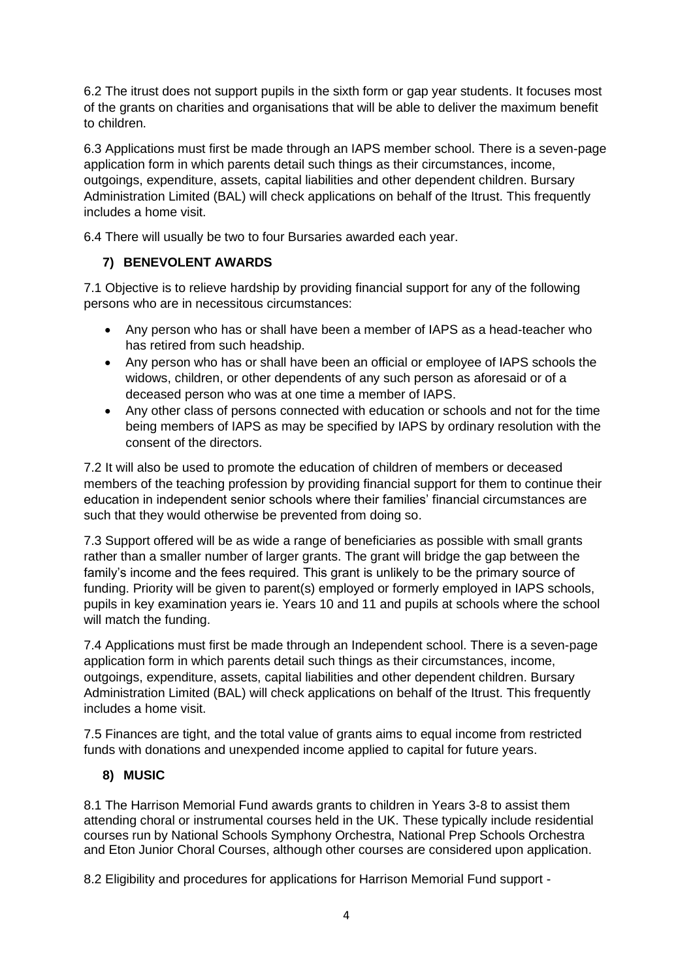6.2 The itrust does not support pupils in the sixth form or gap year students. It focuses most of the grants on charities and organisations that will be able to deliver the maximum benefit to children.

6.3 Applications must first be made through an IAPS member school. There is a seven-page application form in which parents detail such things as their circumstances, income, outgoings, expenditure, assets, capital liabilities and other dependent children. Bursary Administration Limited (BAL) will check applications on behalf of the Itrust. This frequently includes a home visit.

6.4 There will usually be two to four Bursaries awarded each year.

## **7) BENEVOLENT AWARDS**

7.1 Objective is to relieve hardship by providing financial support for any of the following persons who are in necessitous circumstances:

- Any person who has or shall have been a member of IAPS as a head-teacher who has retired from such headship.
- Any person who has or shall have been an official or employee of IAPS schools the widows, children, or other dependents of any such person as aforesaid or of a deceased person who was at one time a member of IAPS.
- Any other class of persons connected with education or schools and not for the time being members of IAPS as may be specified by IAPS by ordinary resolution with the consent of the directors.

7.2 It will also be used to promote the education of children of members or deceased members of the teaching profession by providing financial support for them to continue their education in independent senior schools where their families' financial circumstances are such that they would otherwise be prevented from doing so.

7.3 Support offered will be as wide a range of beneficiaries as possible with small grants rather than a smaller number of larger grants. The grant will bridge the gap between the family's income and the fees required. This grant is unlikely to be the primary source of funding. Priority will be given to parent(s) employed or formerly employed in IAPS schools, pupils in key examination years ie. Years 10 and 11 and pupils at schools where the school will match the funding.

7.4 Applications must first be made through an Independent school. There is a seven-page application form in which parents detail such things as their circumstances, income, outgoings, expenditure, assets, capital liabilities and other dependent children. Bursary Administration Limited (BAL) will check applications on behalf of the Itrust. This frequently includes a home visit.

7.5 Finances are tight, and the total value of grants aims to equal income from restricted funds with donations and unexpended income applied to capital for future years.

# **8) MUSIC**

8.1 The Harrison Memorial Fund awards grants to children in Years 3-8 to assist them attending choral or instrumental courses held in the UK. These typically include residential courses run by National Schools Symphony Orchestra, National Prep Schools Orchestra and Eton Junior Choral Courses, although other courses are considered upon application.

8.2 Eligibility and procedures for applications for Harrison Memorial Fund support -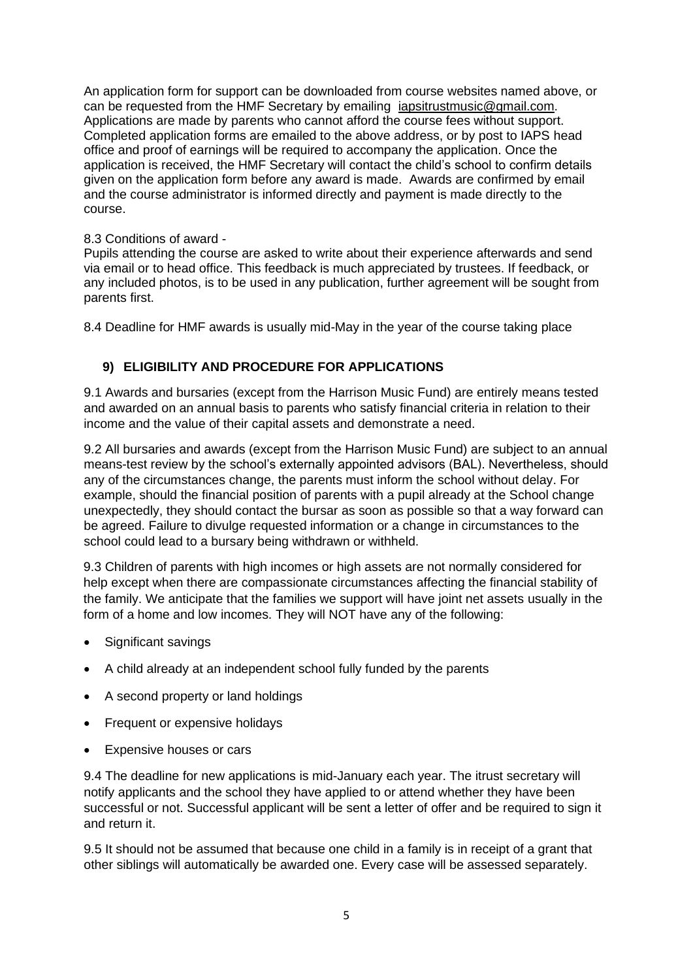An application form for support can be downloaded from course websites named above, or can be requested from the HMF Secretary by emailing [iapsitrustmusic@gmail.com.](mailto:iapsitrustmusic@gmail.com) Applications are made by parents who cannot afford the course fees without support. Completed application forms are emailed to the above address, or by post to IAPS head office and proof of earnings will be required to accompany the application. Once the application is received, the HMF Secretary will contact the child's school to confirm details given on the application form before any award is made. Awards are confirmed by email and the course administrator is informed directly and payment is made directly to the course.

#### 8.3 Conditions of award -

Pupils attending the course are asked to write about their experience afterwards and send via email or to head office. This feedback is much appreciated by trustees. If feedback, or any included photos, is to be used in any publication, further agreement will be sought from parents first.

8.4 Deadline for HMF awards is usually mid-May in the year of the course taking place

## **9) ELIGIBILITY AND PROCEDURE FOR APPLICATIONS**

9.1 Awards and bursaries (except from the Harrison Music Fund) are entirely means tested and awarded on an annual basis to parents who satisfy financial criteria in relation to their income and the value of their capital assets and demonstrate a need.

9.2 All bursaries and awards (except from the Harrison Music Fund) are subject to an annual means-test review by the school's externally appointed advisors (BAL). Nevertheless, should any of the circumstances change, the parents must inform the school without delay. For example, should the financial position of parents with a pupil already at the School change unexpectedly, they should contact the bursar as soon as possible so that a way forward can be agreed. Failure to divulge requested information or a change in circumstances to the school could lead to a bursary being withdrawn or withheld.

9.3 Children of parents with high incomes or high assets are not normally considered for help except when there are compassionate circumstances affecting the financial stability of the family. We anticipate that the families we support will have joint net assets usually in the form of a home and low incomes. They will NOT have any of the following:

- Significant savings
- A child already at an independent school fully funded by the parents
- A second property or land holdings
- Frequent or expensive holidays
- Expensive houses or cars

9.4 The deadline for new applications is mid-January each year. The itrust secretary will notify applicants and the school they have applied to or attend whether they have been successful or not. Successful applicant will be sent a letter of offer and be required to sign it and return it.

9.5 It should not be assumed that because one child in a family is in receipt of a grant that other siblings will automatically be awarded one. Every case will be assessed separately.